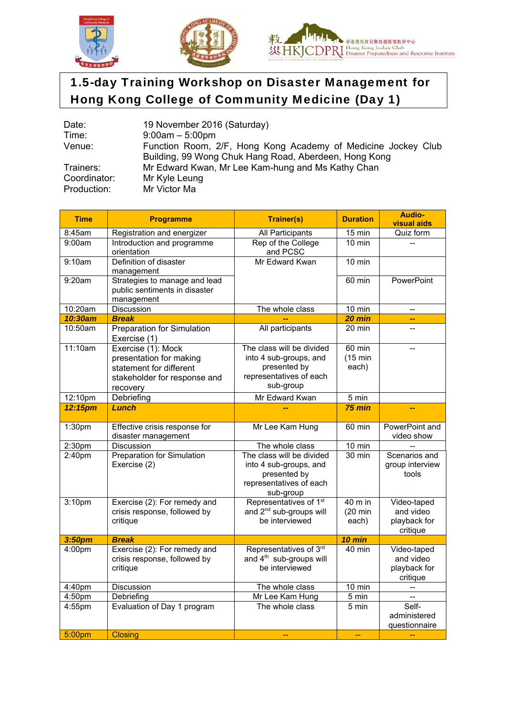





## 1.5-day Training Workshop on Disaster Management for Hong Kong College of Community Medicine (Day 1)

| Date:        | 19 November 2016 (Saturday)                                   |  |  |  |  |
|--------------|---------------------------------------------------------------|--|--|--|--|
| Time:        | $9:00am - 5:00pm$                                             |  |  |  |  |
| Venue:       | Function Room, 2/F, Hong Kong Academy of Medicine Jockey Club |  |  |  |  |
|              | Building, 99 Wong Chuk Hang Road, Aberdeen, Hong Kong         |  |  |  |  |
| Trainers:    | Mr Edward Kwan, Mr Lee Kam-hung and Ms Kathy Chan             |  |  |  |  |
| Coordinator: | Mr Kyle Leung                                                 |  |  |  |  |
| Production:  | Mr Victor Ma                                                  |  |  |  |  |

| <b>Time</b> | <b>Programme</b>                                                                                                     | <b>Trainer(s)</b>                                                                                           | <b>Duration</b>                         | <b>Audio-</b><br><b>visual aids</b>                  |
|-------------|----------------------------------------------------------------------------------------------------------------------|-------------------------------------------------------------------------------------------------------------|-----------------------------------------|------------------------------------------------------|
| 8:45am      | Registration and energizer                                                                                           | All Participants                                                                                            | $15 \text{ min}$                        | Quiz form                                            |
| 9:00am      | Introduction and programme<br>orientation                                                                            | Rep of the College<br>and PCSC                                                                              | $10$ min                                |                                                      |
| 9:10am      | Definition of disaster<br>management                                                                                 | Mr Edward Kwan                                                                                              | $10 \text{ min}$                        |                                                      |
| 9:20am      | Strategies to manage and lead<br>public sentiments in disaster<br>management                                         |                                                                                                             | 60 min                                  | PowerPoint                                           |
| 10:20am     | <b>Discussion</b>                                                                                                    | The whole class                                                                                             | 10 min                                  | $-$                                                  |
| 10:30am     | <b>Break</b>                                                                                                         |                                                                                                             | $20$ min                                | --                                                   |
| 10:50am     | <b>Preparation for Simulation</b><br>Exercise (1)                                                                    | All participants                                                                                            | 20 min                                  | Ξ.                                                   |
| 11:10am     | Exercise (1): Mock<br>presentation for making<br>statement for different<br>stakeholder for response and<br>recovery | The class will be divided<br>into 4 sub-groups, and<br>presented by<br>representatives of each<br>sub-group | $60$ min<br>$(15 \text{ min})$<br>each) |                                                      |
| 12:10pm     | Debriefing                                                                                                           | Mr Edward Kwan                                                                                              | 5 min                                   |                                                      |
| 12:15pm     | Lunch                                                                                                                |                                                                                                             | $75$ min                                |                                                      |
| 1:30pm      | Effective crisis response for<br>disaster management                                                                 | Mr Lee Kam Hung                                                                                             | 60 min                                  | PowerPoint and<br>video show                         |
| 2:30pm      | <b>Discussion</b>                                                                                                    | The whole class                                                                                             | $10 \text{ min}$                        |                                                      |
| 2:40pm      | <b>Preparation for Simulation</b><br>Exercise (2)                                                                    | The class will be divided<br>into 4 sub-groups, and<br>presented by<br>representatives of each<br>sub-group | 30 min                                  | Scenarios and<br>group interview<br>tools            |
| 3:10pm      | Exercise (2): For remedy and<br>crisis response, followed by<br>critique                                             | Representatives of 1 <sup>st</sup><br>and 2 <sup>nd</sup> sub-groups will<br>be interviewed                 | 40 m in<br>$(20 \text{ min})$<br>each)  | Video-taped<br>and video<br>playback for<br>critique |
| 3:50pm      | <b>Break</b>                                                                                                         |                                                                                                             | 10 min                                  |                                                      |
| 4:00pm      | Exercise (2): For remedy and<br>crisis response, followed by<br>critique                                             | Representatives of 3rd<br>and 4 <sup>th</sup> sub-groups will<br>be interviewed                             | $40$ min                                | Video-taped<br>and video<br>playback for<br>critique |
| 4:40pm      | Discussion                                                                                                           | The whole class                                                                                             | 10 min                                  |                                                      |
| 4:50pm      | Debriefing                                                                                                           | Mr Lee Kam Hung                                                                                             | 5 min                                   | $\overline{\phantom{a}}$                             |
| 4:55pm      | Evaluation of Day 1 program                                                                                          | The whole class                                                                                             | 5 min                                   | Self-<br>administered<br>questionnaire               |
| 5:00pm      | <b>Closing</b>                                                                                                       |                                                                                                             | $\overline{a}$                          |                                                      |